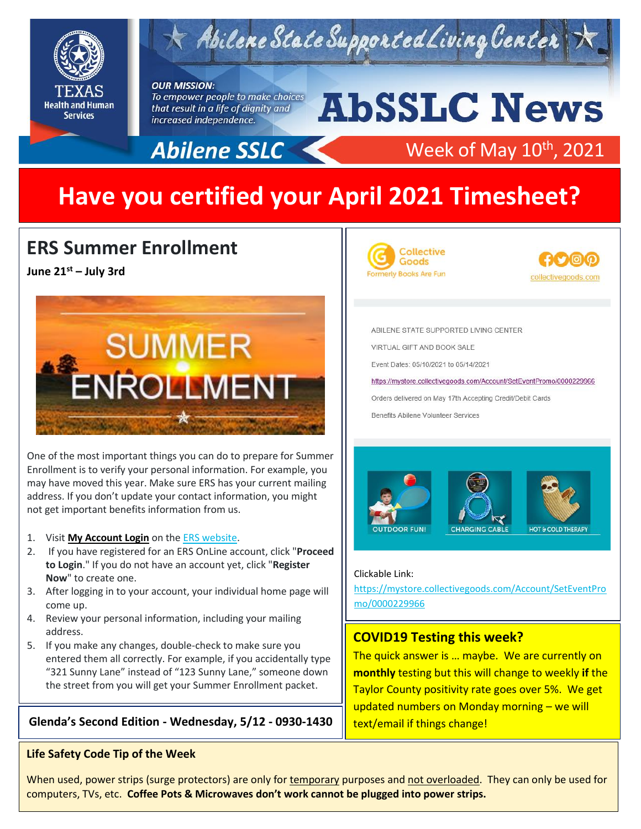

# $\star$  Abilene State Supported Living Center

#### **OUR MISSION:**

To empower people to make choices that result in a life of dignity and increased independence.

# **AbSSLC News**



## Week of May 10<sup>th</sup>, 2021

# **Have you certified your April 2021 Timesheet?**

## **ERS Summer Enrollment**

**June 21st – July 3rd**



One of the most important things you can do to prepare for Summer Enrollment is to verify your personal information. For example, you may have moved this year. Make sure ERS has your current mailing address. If you don't update your contact information, you might not get important benefits information from us.

#### 1. Visit **[My Account Login](https://www.ers.texas.gov/account-login)** on the [ERS website.](http://www.ers.texas.gov/)

- 2. If you have registered for an ERS OnLine account, click "**Proceed to Login**." If you do not have an account yet, click "**Register Now**" to create one.
- 3. After logging in to your account, your individual home page will come up.
- 4. Review your personal information, including your mailing address.
- 5. If you make any changes, double-check to make sure you entered them all correctly. For example, if you accidentally type "321 Sunny Lane" instead of "123 Sunny Lane," someone down the street from you will get your Summer Enrollment packet.

### **Glenda's Second Edition - Wednesday, 5/12 - 0930-1430**  $\left|\right|$  text/email if things change!

#### **Life Safety Code Tip of the Week**





ABILENE STATE SUPPORTED LIVING CENTER VIRTUAL GIFT AND BOOK SALE Event Dates: 05/10/2021 to 05/14/2021 https://mystore.collectivegoods.com/Account/SetEventPromo/0000229966 Orders delivered on May 17th Accepting Credit/Debit Cards Benefits Abilene Volunteer Services



#### Clickable Link:

[https://mystore.collectivegoods.com/Account/SetEventPro](https://mystore.collectivegoods.com/Account/SetEventPromo/0000229966) [mo/0000229966](https://mystore.collectivegoods.com/Account/SetEventPromo/0000229966)

#### **COVID19 Testing this week?**

The quick answer is … maybe. We are currently on **monthly** testing but this will change to weekly **if** the Taylor County positivity rate goes over 5%. We get updated numbers on Monday morning – we will

When used, power strips (surge protectors) are only for temporary purposes and not overloaded. They can only be used for computers, TVs, etc. **Coffee Pots & Microwaves don't work cannot be plugged into power strips.**